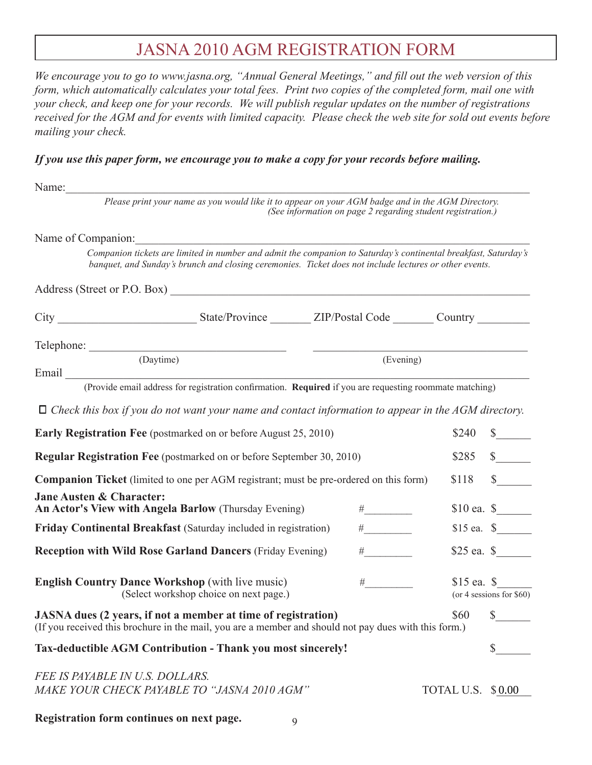## JASNA 2010 AGM REGISTRATION FORM

*We encourage you to go to www.jasna.org, "Annual General Meetings," and fill out the web version of this form, which automatically calculates your total fees. Print two copies of the completed form, mail one with your check, and keep one for your records. We will publish regular updates on the number of registrations received for the AGM and for events with limited capacity. Please check the web site for sold out events before mailing your check.*

## *If you use this paper form, we encourage you to make a copy for your records before mailing.*

| Name:                                                                                             |                                                                                                                                                                                                                           |                                                             |                                      |  |
|---------------------------------------------------------------------------------------------------|---------------------------------------------------------------------------------------------------------------------------------------------------------------------------------------------------------------------------|-------------------------------------------------------------|--------------------------------------|--|
|                                                                                                   | Please print your name as you would like it to appear on your AGM badge and in the AGM Directory.                                                                                                                         | (See information on page 2 regarding student registration.) |                                      |  |
| Name of Companion:                                                                                |                                                                                                                                                                                                                           |                                                             |                                      |  |
|                                                                                                   | Companion tickets are limited in number and admit the companion to Saturday's continental breakfast, Saturday's<br>banquet, and Sunday's brunch and closing ceremonies. Ticket does not include lectures or other events. |                                                             |                                      |  |
|                                                                                                   |                                                                                                                                                                                                                           |                                                             |                                      |  |
|                                                                                                   |                                                                                                                                                                                                                           |                                                             |                                      |  |
|                                                                                                   |                                                                                                                                                                                                                           |                                                             |                                      |  |
|                                                                                                   | (Daytime)                                                                                                                                                                                                                 | (Evening)                                                   |                                      |  |
|                                                                                                   | (Provide email address for registration confirmation. Required if you are requesting roommate matching)                                                                                                                   |                                                             |                                      |  |
|                                                                                                   | $\Box$ Check this box if you do not want your name and contact information to appear in the AGM directory.                                                                                                                |                                                             |                                      |  |
|                                                                                                   | <b>Early Registration Fee</b> (postmarked on or before August 25, 2010)                                                                                                                                                   |                                                             | \$240<br>$\frac{\text{S}}{\text{S}}$ |  |
| <b>Regular Registration Fee</b> (postmarked on or before September 30, 2010)<br>\$285             |                                                                                                                                                                                                                           |                                                             |                                      |  |
|                                                                                                   | <b>Companion Ticket</b> (limited to one per AGM registrant; must be pre-ordered on this form)                                                                                                                             |                                                             | $\mathbb{S}$<br>\$118                |  |
| <b>Jane Austen &amp; Character:</b>                                                               | An Actor's View with Angela Barlow (Thursday Evening)                                                                                                                                                                     | $\# \underline{\hspace{2cm}}$                               |                                      |  |
|                                                                                                   | Friday Continental Breakfast (Saturday included in registration)                                                                                                                                                          | $\#$                                                        |                                      |  |
|                                                                                                   | <b>Reception with Wild Rose Garland Dancers (Friday Evening)</b>                                                                                                                                                          | #                                                           |                                      |  |
| <b>English Country Dance Workshop</b> (with live music)<br>(Select workshop choice on next page.) | $\#$<br>$$15$ ea. $$$<br>(or 4 sessions for $$60$ )                                                                                                                                                                       |                                                             |                                      |  |
|                                                                                                   | JASNA dues (2 years, if not a member at time of registration)<br>(If you received this brochure in the mail, you are a member and should not pay dues with this form.)                                                    |                                                             | \$60 \$                              |  |
|                                                                                                   | Tax-deductible AGM Contribution - Thank you most sincerely!                                                                                                                                                               |                                                             |                                      |  |
| FEE IS PAYABLE IN U.S. DOLLARS.                                                                   | MAKE YOUR CHECK PAYABLE TO "JASNA 2010 AGM"                                                                                                                                                                               |                                                             | TOTAL U.S. \$0.00                    |  |
| Registration form continues on next page.                                                         | 9                                                                                                                                                                                                                         |                                                             |                                      |  |